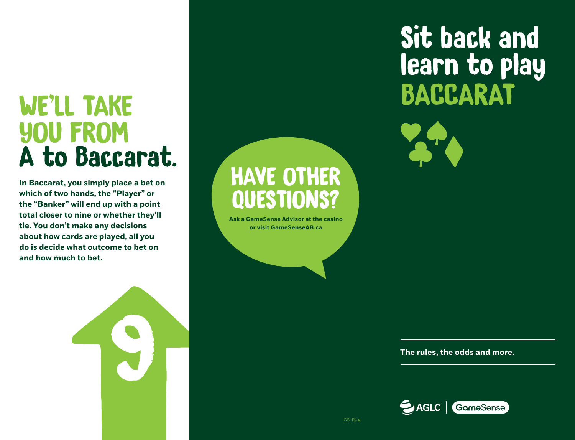# YOU FROM A to Baccarat.

**In Baccarat, you simply place a bet on which of two hands, the "Player" or the "Banker" will end up with a point total closer to nine or whether they'll tie. You don't make any decisions about how cards are played, all you do is decide what outcome to bet on and how much to bet.**

9

## HAVE OTHER QUESTIONS?

**Ask a GameSense Advisor at the casino or visit GameSenseAB.ca**





**The rules, the odds and more.**